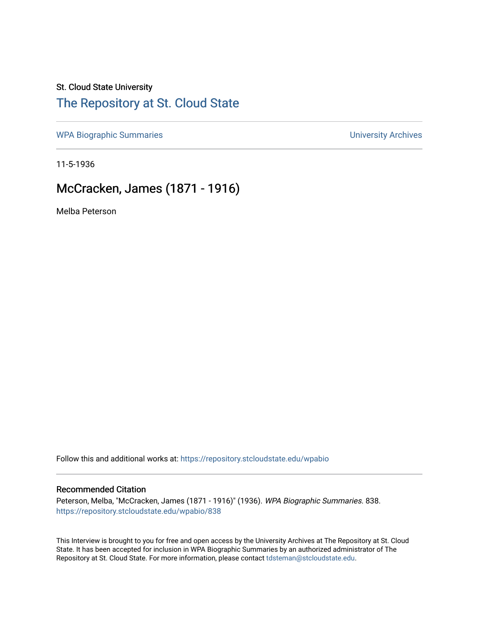# St. Cloud State University

# [The Repository at St. Cloud State](https://repository.stcloudstate.edu/)

[WPA Biographic Summaries](https://repository.stcloudstate.edu/wpabio) **WPA Biographic Summaries University Archives** 

11-5-1936

# McCracken, James (1871 - 1916)

Melba Peterson

Follow this and additional works at: [https://repository.stcloudstate.edu/wpabio](https://repository.stcloudstate.edu/wpabio?utm_source=repository.stcloudstate.edu%2Fwpabio%2F838&utm_medium=PDF&utm_campaign=PDFCoverPages) 

### Recommended Citation

Peterson, Melba, "McCracken, James (1871 - 1916)" (1936). WPA Biographic Summaries. 838. [https://repository.stcloudstate.edu/wpabio/838](https://repository.stcloudstate.edu/wpabio/838?utm_source=repository.stcloudstate.edu%2Fwpabio%2F838&utm_medium=PDF&utm_campaign=PDFCoverPages) 

This Interview is brought to you for free and open access by the University Archives at The Repository at St. Cloud State. It has been accepted for inclusion in WPA Biographic Summaries by an authorized administrator of The Repository at St. Cloud State. For more information, please contact [tdsteman@stcloudstate.edu.](mailto:tdsteman@stcloudstate.edu)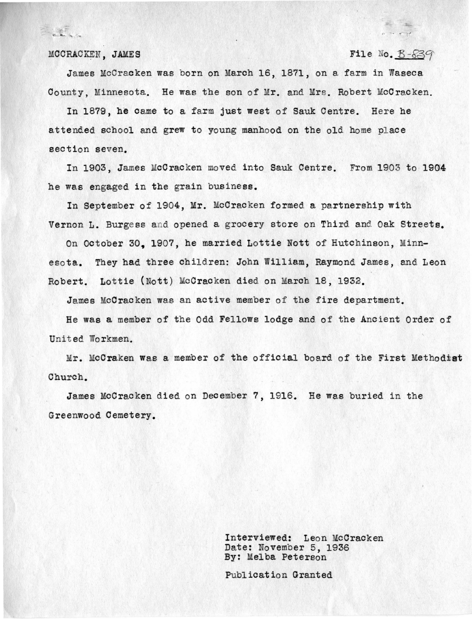

#### $MCORACKEN$ , **JAMES**

### File No.  $B-839$

 $\frac{1}{2} \frac{1}{2} \frac{1}{2} \frac{1}{2} \frac{1}{2} \frac{1}{2} \frac{1}{2} \frac{1}{2} \frac{1}{2} \frac{1}{2} \frac{1}{2} \frac{1}{2} \frac{1}{2} \frac{1}{2} \frac{1}{2} \frac{1}{2} \frac{1}{2} \frac{1}{2} \frac{1}{2} \frac{1}{2} \frac{1}{2} \frac{1}{2} \frac{1}{2} \frac{1}{2} \frac{1}{2} \frac{1}{2} \frac{1}{2} \frac{1}{2} \frac{1}{2} \frac{1}{2} \frac{1}{2} \frac{$ 

James McCracken was born on March 16, 1871, on a farm in Waseca County, Minnesota. He was the son of Mr. and Mrs. Robert McCracken.

In 1879, be came to a farm just west of Sauk Centre. Here he attended school and grew to young manhood on the old home place section seven.

In 1903, James McCracken moved into Sauk Centre. From 1903 to 1904 he was engaged in the grain business.

In September of 1904, Mr. McCracken formed a partnership with Vernon L. Burgess and opened a grocery store on Third and Oak Streets.

On October 30, 1907, he married Lottie Nott of Hutchinson, Minnesota. They had three children: John William, Raymond James, and Leon Robert. Lottie {Nott) McCracken died on March 18, 1932.

James McCracken was an active member of the fire department.

He was a member of the Odd Fellows lodge and of the Ancient Order of United Workmen.

Mr. McCraken was a member of the official board of the First Methodist Church.

James McCracken died on December 7, 1916. He was buried in the Greenwood Cemetery.

> Interviewed: Leon McCracken Date: November 5, 1936 By: Melba Peterson

Publication Granted